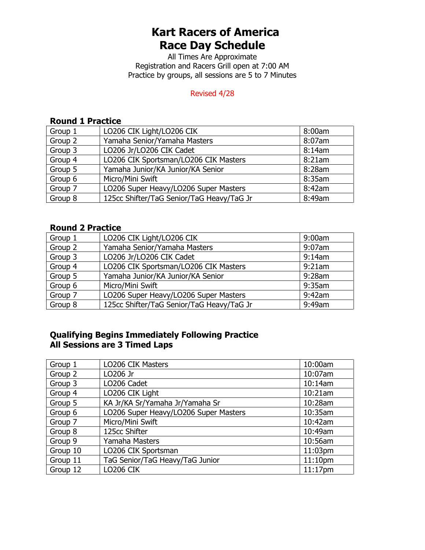# **Kart Racers of America Race Day Schedule**

All Times Are Approximate Registration and Racers Grill open at 7:00 AM Practice by groups, all sessions are 5 to 7 Minutes

### Revised 4/28

### **Round 1 Practice**

| Group 1 | LO206 CIK Light/LO206 CIK                 | 8:00am |
|---------|-------------------------------------------|--------|
| Group 2 | Yamaha Senior/Yamaha Masters              | 8:07am |
| Group 3 | LO206 Jr/LO206 CIK Cadet                  | 8:14am |
| Group 4 | LO206 CIK Sportsman/LO206 CIK Masters     | 8:21am |
| Group 5 | Yamaha Junior/KA Junior/KA Senior         | 8:28am |
| Group 6 | Micro/Mini Swift                          | 8:35am |
| Group 7 | LO206 Super Heavy/LO206 Super Masters     | 8:42am |
| Group 8 | 125cc Shifter/TaG Senior/TaG Heavy/TaG Jr | 8:49am |

## **Round 2 Practice**

| Group 1 | LO206 CIK Light/LO206 CIK                 | 9:00am    |
|---------|-------------------------------------------|-----------|
| Group 2 | Yamaha Senior/Yamaha Masters              | $9:07$ am |
| Group 3 | LO206 Jr/LO206 CIK Cadet                  | 9:14am    |
| Group 4 | LO206 CIK Sportsman/LO206 CIK Masters     | 9:21am    |
| Group 5 | Yamaha Junior/KA Junior/KA Senior         | $9:28$ am |
| Group 6 | Micro/Mini Swift                          | 9:35am    |
| Group 7 | LO206 Super Heavy/LO206 Super Masters     | 9:42am    |
| Group 8 | 125cc Shifter/TaG Senior/TaG Heavy/TaG Jr | 9:49am    |

## **Qualifying Begins Immediately Following Practice All Sessions are 3 Timed Laps**

| Group 1  | LO206 CIK Masters                     | 10:00am |
|----------|---------------------------------------|---------|
| Group 2  | LO206 Jr                              | 10:07am |
| Group 3  | LO206 Cadet                           | 10:14am |
| Group 4  | LO206 CIK Light                       | 10:21am |
| Group 5  | KA Jr/KA Sr/Yamaha Jr/Yamaha Sr       | 10:28am |
| Group 6  | LO206 Super Heavy/LO206 Super Masters | 10:35am |
| Group 7  | Micro/Mini Swift                      | 10:42am |
| Group 8  | 125cc Shifter                         | 10:49am |
| Group 9  | Yamaha Masters                        | 10:56am |
| Group 10 | LO206 CIK Sportsman                   | 11:03pm |
| Group 11 | TaG Senior/TaG Heavy/TaG Junior       | 11:10pm |
| Group 12 | <b>LO206 CIK</b>                      | 11:17pm |